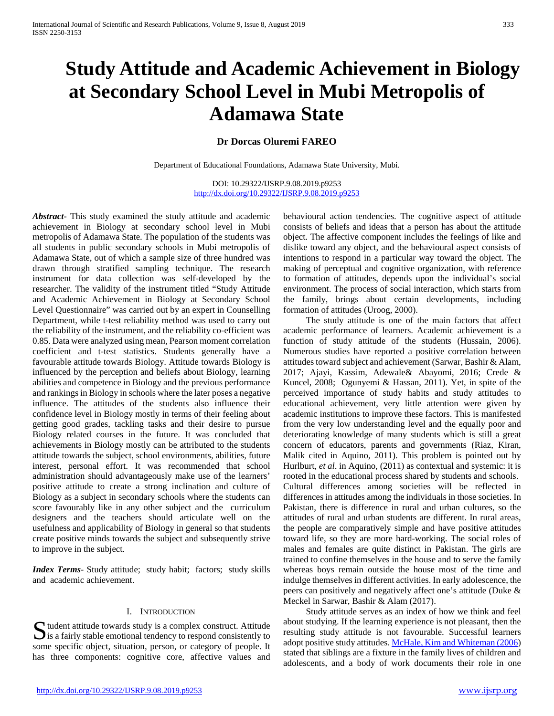# **Study Attitude and Academic Achievement in Biology at Secondary School Level in Mubi Metropolis of Adamawa State**

# **Dr Dorcas Oluremi FAREO**

Department of Educational Foundations, Adamawa State University, Mubi.

DOI: 10.29322/IJSRP.9.08.2019.p9253 <http://dx.doi.org/10.29322/IJSRP.9.08.2019.p9253>

*Abstract***-** This study examined the study attitude and academic achievement in Biology at secondary school level in Mubi metropolis of Adamawa State. The population of the students was all students in public secondary schools in Mubi metropolis of Adamawa State, out of which a sample size of three hundred was drawn through stratified sampling technique. The research instrument for data collection was self-developed by the researcher. The validity of the instrument titled "Study Attitude and Academic Achievement in Biology at Secondary School Level Questionnaire" was carried out by an expert in Counselling Department, while t-test reliability method was used to carry out the reliability of the instrument, and the reliability co-efficient was 0.85. Data were analyzed using mean, Pearson moment correlation coefficient and t-test statistics. Students generally have a favourable attitude towards Biology. Attitude towards Biology is influenced by the perception and beliefs about Biology, learning abilities and competence in Biology and the previous performance and rankings in Biology in schools where the later poses a negative influence. The attitudes of the students also influence their confidence level in Biology mostly in terms of their feeling about getting good grades, tackling tasks and their desire to pursue Biology related courses in the future. It was concluded that achievements in Biology mostly can be attributed to the students attitude towards the subject, school environments, abilities, future interest, personal effort. It was recommended that school administration should advantageously make use of the learners' positive attitude to create a strong inclination and culture of Biology as a subject in secondary schools where the students can score favourably like in any other subject and the curriculum designers and the teachers should articulate well on the usefulness and applicability of Biology in general so that students create positive minds towards the subject and subsequently strive to improve in the subject.

*Index Terms*- Study attitude; study habit; factors; study skills and academic achievement.

#### I. INTRODUCTION

tudent attitude towards study is a complex construct. Attitude  $\sum$  tudent attitude towards study is a complex construct. Attitude is a fairly stable emotional tendency to respond consistently to some specific object, situation, person, or category of people. It has three components: cognitive core, affective values and

behavioural action tendencies. The cognitive aspect of attitude consists of beliefs and ideas that a person has about the attitude object. The affective component includes the feelings of like and dislike toward any object, and the behavioural aspect consists of intentions to respond in a particular way toward the object. The making of perceptual and cognitive organization, with reference to formation of attitudes, depends upon the individual's social environment. The process of social interaction, which starts from the family, brings about certain developments, including formation of attitudes (Uroog, 2000).

 The study attitude is one of the main factors that affect academic performance of learners. Academic achievement is a function of study attitude of the students (Hussain, 2006). Numerous studies have reported a positive correlation between attitudes toward subject and achievement (Sarwar, Bashir & Alam, 2017; Ajayi, Kassim, Adewale& Abayomi, 2016; Crede & Kuncel, 2008; Ogunyemi & Hassan, 2011). Yet, in spite of the perceived importance of study habits and study attitudes to educational achievement, very little attention were given by academic institutions to improve these factors. This is manifested from the very low understanding level and the equally poor and deteriorating knowledge of many students which is still a great concern of educators, parents and governments (Riaz, Kiran, Malik cited in Aquino, 2011). This problem is pointed out by Hurlburt, *et al*. in Aquino, (2011) as contextual and systemic: it is rooted in the educational process shared by students and schools. Cultural differences among societies will be reflected in differences in attitudes among the individuals in those societies. In Pakistan, there is difference in rural and urban cultures, so the attitudes of rural and urban students are different. In rural areas, the people are comparatively simple and have positive attitudes toward life, so they are more hard-working. The social roles of males and females are quite distinct in Pakistan. The girls are trained to confine themselves in the house and to serve the family whereas boys remain outside the house most of the time and indulge themselves in different activities. In early adolescence, the peers can positively and negatively affect one's attitude (Duke & Meckel in Sarwar, Bashir & Alam (2017).

 Study attitude serves as an index of how we think and feel about studying. If the learning experience is not pleasant, then the resulting study attitude is not favourable. Successful learners adopt positive study attitudes[. McHale, Kim and Whiteman \(2006\)](https://www.ncbi.nlm.nih.gov/pmc/articles/PMC3956653/#R64) stated that siblings are a fixture in the family lives of children and adolescents, and a body of work documents their role in one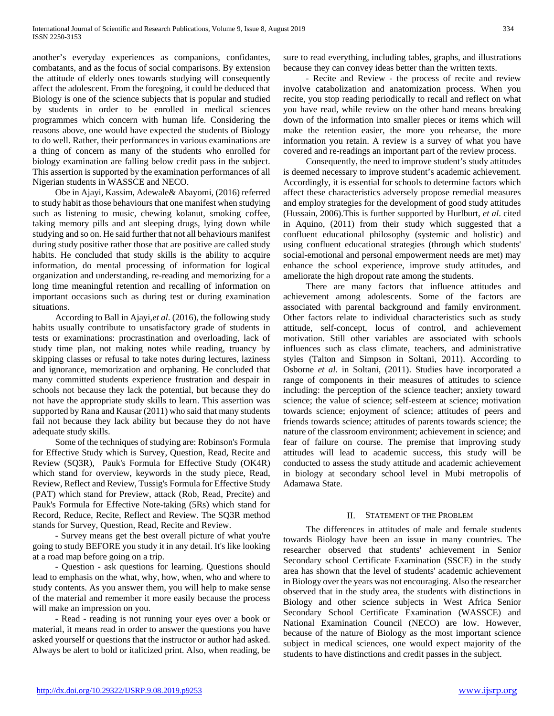another's everyday experiences as companions, confidantes, combatants, and as the focus of social comparisons. By extension the attitude of elderly ones towards studying will consequently affect the adolescent. From the foregoing, it could be deduced that Biology is one of the science subjects that is popular and studied by students in order to be enrolled in medical sciences programmes which concern with human life. Considering the reasons above, one would have expected the students of Biology to do well. Rather, their performances in various examinations are a thing of concern as many of the students who enrolled for biology examination are falling below credit pass in the subject. This assertion is supported by the examination performances of all Nigerian students in WASSCE and NECO.

 Obe in Ajayi, Kassim, Adewale& Abayomi, (2016) referred to study habit as those behaviours that one manifest when studying such as listening to music, chewing kolanut, smoking coffee, taking memory pills and ant sleeping drugs, lying down while studying and so on. He said further that not all behaviours manifest during study positive rather those that are positive are called study habits. He concluded that study skills is the ability to acquire information, do mental processing of information for logical organization and understanding, re-reading and memorizing for a long time meaningful retention and recalling of information on important occasions such as during test or during examination situations.

 According to Ball in Ajayi,*et al*. (2016), the following study habits usually contribute to unsatisfactory grade of students in tests or examinations: procrastination and overloading, lack of study time plan, not making notes while reading, truancy by skipping classes or refusal to take notes during lectures, laziness and ignorance, memorization and orphaning. He concluded that many committed students experience frustration and despair in schools not because they lack the potential, but because they do not have the appropriate study skills to learn. This assertion was supported by Rana and Kausar (2011) who said that many students fail not because they lack ability but because they do not have adequate study skills.

 Some of the techniques of studying are: Robinson's Formula for Effective Study which is Survey, Question, Read, Recite and Review (SQ3R), Pauk's Formula for Effective Study (OK4R) which stand for overview, keywords in the study piece, Read, Review, Reflect and Review, Tussig's Formula for Effective Study (PAT) which stand for Preview, attack (Rob, Read, Precite) and Pauk's Formula for Effective Note-taking (5Rs) which stand for Record, Reduce, Recite, Reflect and Review. The SQ3R method stands for Survey, Question, Read, Recite and Review.

 - Survey means get the best overall picture of what you're going to study BEFORE you study it in any detail. It's like looking at a road map before going on a trip.

 - Question - ask questions for learning. Questions should lead to emphasis on the what, why, how, when, who and where to study contents. As you answer them, you will help to make sense of the material and remember it more easily because the process will make an impression on you.

 - Read - reading is not running your eyes over a book or material, it means read in order to answer the questions you have asked yourself or questions that the instructor or author had asked. Always be alert to bold or italicized print. Also, when reading, be sure to read everything, including tables, graphs, and illustrations because they can convey ideas better than the written texts.

 - Recite and Review - the process of recite and review involve catabolization and anatomization process. When you recite, you stop reading periodically to recall and reflect on what you have read, while review on the other hand means breaking down of the information into smaller pieces or items which will make the retention easier, the more you rehearse, the more information you retain. A review is a survey of what you have covered and re-readings an important part of the review process.

 Consequently, the need to improve student's study attitudes is deemed necessary to improve student's academic achievement. Accordingly, it is essential for schools to determine factors which affect these characteristics adversely propose remedial measures and employ strategies for the development of good study attitudes (Hussain, 2006).This is further supported by Hurlburt, *et al*. cited in Aquino, (2011) from their study which suggested that a confluent educational philosophy (systemic and holistic) and using confluent educational strategies (through which students' social-emotional and personal empowerment needs are met) may enhance the school experience, improve study attitudes, and ameliorate the high dropout rate among the students.

 There are many factors that influence attitudes and achievement among adolescents. Some of the factors are associated with parental background and family environment. Other factors relate to individual characteristics such as study attitude, self-concept, locus of control, and achievement motivation. Still other variables are associated with schools influences such as class climate, teachers, and administrative styles (Talton and Simpson in Soltani, 2011). According to Osborne *et al*. in Soltani, (2011). Studies have incorporated a range of components in their measures of attitudes to science including: the perception of the science teacher; anxiety toward science; the value of science; self-esteem at science; motivation towards science; enjoyment of science; attitudes of peers and friends towards science; attitudes of parents towards science; the nature of the classroom environment; achievement in science; and fear of failure on course. The premise that improving study attitudes will lead to academic success, this study will be conducted to assess the study attitude and academic achievement in biology at secondary school level in Mubi metropolis of Adamawa State.

#### II. STATEMENT OF THE PROBLEM

 The differences in attitudes of male and female students towards Biology have been an issue in many countries. The researcher observed that students' achievement in Senior Secondary school Certificate Examination (SSCE) in the study area has shown that the level of students' academic achievement in Biology over the years was not encouraging. Also the researcher observed that in the study area, the students with distinctions in Biology and other science subjects in West Africa Senior Secondary School Certificate Examination (WASSCE) and National Examination Council (NECO) are low. However, because of the nature of Biology as the most important science subject in medical sciences, one would expect majority of the students to have distinctions and credit passes in the subject.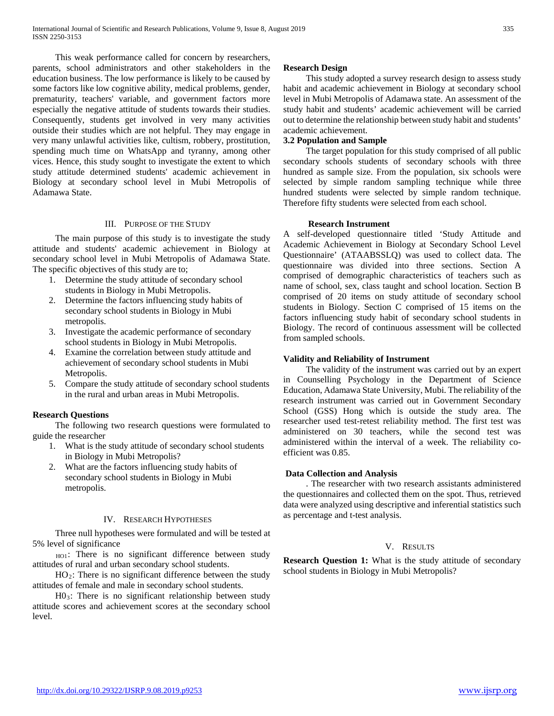This weak performance called for concern by researchers, parents, school administrators and other stakeholders in the education business. The low performance is likely to be caused by some factors like low cognitive ability, medical problems, gender, prematurity, teachers' variable, and government factors more especially the negative attitude of students towards their studies. Consequently, students get involved in very many activities outside their studies which are not helpful. They may engage in very many unlawful activities like, cultism, robbery, prostitution, spending much time on WhatsApp and tyranny, among other vices. Hence, this study sought to investigate the extent to which study attitude determined students' academic achievement in Biology at secondary school level in Mubi Metropolis of Adamawa State.

#### III. PURPOSE OF THE STUDY

 The main purpose of this study is to investigate the study attitude and students' academic achievement in Biology at secondary school level in Mubi Metropolis of Adamawa State. The specific objectives of this study are to;

- 1. Determine the study attitude of secondary school students in Biology in Mubi Metropolis.
- 2. Determine the factors influencing study habits of secondary school students in Biology in Mubi metropolis.
- 3. Investigate the academic performance of secondary school students in Biology in Mubi Metropolis.
- 4. Examine the correlation between study attitude and achievement of secondary school students in Mubi Metropolis.
- 5. Compare the study attitude of secondary school students in the rural and urban areas in Mubi Metropolis.

## **Research Questions**

 The following two research questions were formulated to guide the researcher

- 1. What is the study attitude of secondary school students in Biology in Mubi Metropolis?
- 2. What are the factors influencing study habits of secondary school students in Biology in Mubi metropolis.

#### IV. RESEARCH HYPOTHESES

 Three null hypotheses were formulated and will be tested at 5% level of significance

HO1: There is no significant difference between study attitudes of rural and urban secondary school students.

 $HO<sub>2</sub>$ : There is no significant difference between the study attitudes of female and male in secondary school students.

 H03: There is no significant relationship between study attitude scores and achievement scores at the secondary school level.

#### **Research Design**

 This study adopted a survey research design to assess study habit and academic achievement in Biology at secondary school level in Mubi Metropolis of Adamawa state. An assessment of the study habit and students' academic achievement will be carried out to determine the relationship between study habit and students' academic achievement.

#### **3.2 Population and Sample**

 The target population for this study comprised of all public secondary schools students of secondary schools with three hundred as sample size. From the population, six schools were selected by simple random sampling technique while three hundred students were selected by simple random technique. Therefore fifty students were selected from each school.

#### **Research Instrument**

A self-developed questionnaire titled 'Study Attitude and Academic Achievement in Biology at Secondary School Level Questionnaire' (ATAABSSLQ) was used to collect data. The questionnaire was divided into three sections. Section A comprised of demographic characteristics of teachers such as name of school, sex, class taught and school location. Section B comprised of 20 items on study attitude of secondary school students in Biology. Section C comprised of 15 items on the factors influencing study habit of secondary school students in Biology. The record of continuous assessment will be collected from sampled schools.

#### **Validity and Reliability of Instrument**

 The validity of the instrument was carried out by an expert in Counselling Psychology in the Department of Science Education, Adamawa State University, Mubi. The reliability of the research instrument was carried out in Government Secondary School (GSS) Hong which is outside the study area. The researcher used test-retest reliability method. The first test was administered on 30 teachers, while the second test was administered within the interval of a week. The reliability coefficient was 0.85.

#### **Data Collection and Analysis**

 . The researcher with two research assistants administered the questionnaires and collected them on the spot. Thus, retrieved data were analyzed using descriptive and inferential statistics such as percentage and t-test analysis.

## V. RESULTS

**Research Question 1:** What is the study attitude of secondary school students in Biology in Mubi Metropolis?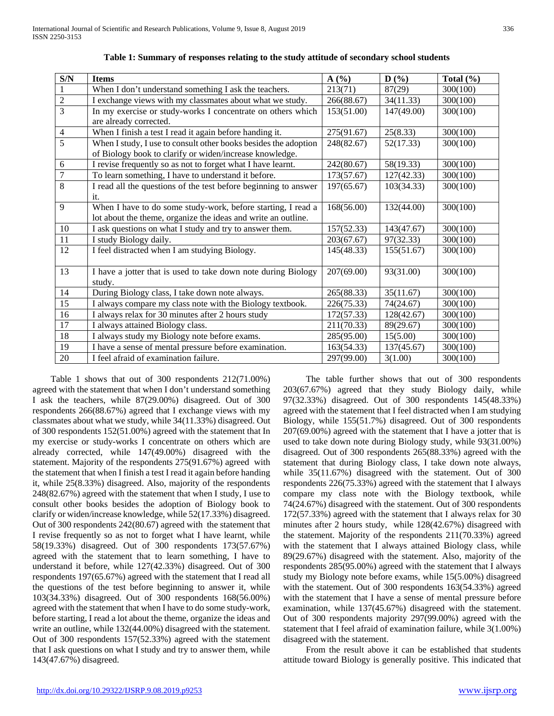| S/N            | <b>Items</b>                                                    | A(%)       | D(%)       | Total $(\% )$ |
|----------------|-----------------------------------------------------------------|------------|------------|---------------|
| $\mathbf{1}$   | When I don't understand something I ask the teachers.           | 213(71)    | 87(29)     | 300(100)      |
| $\overline{2}$ | I exchange views with my classmates about what we study.        | 266(88.67) | 34(11.33)  | 300(100)      |
| $\overline{3}$ | In my exercise or study-works I concentrate on others which     | 153(51.00) | 147(49.00) | 300(100)      |
|                | are already corrected.                                          |            |            |               |
| $\overline{4}$ | When I finish a test I read it again before handing it.         | 275(91.67) | 25(8.33)   | 300(100)      |
| $\overline{5}$ | When I study, I use to consult other books besides the adoption | 248(82.67) | 52(17.33)  | 300(100)      |
|                | of Biology book to clarify or widen/increase knowledge.         |            |            |               |
| 6              | I revise frequently so as not to forget what I have learnt.     | 242(80.67) | 58(19.33)  | 300(100)      |
| $\overline{7}$ | To learn something, I have to understand it before.             | 173(57.67) | 127(42.33) | 300(100)      |
| 8              | I read all the questions of the test before beginning to answer | 197(65.67) | 103(34.33) | 300(100)      |
|                | it.                                                             |            |            |               |
| 9              | When I have to do some study-work, before starting, I read a    | 168(56.00) | 132(44.00) | 300(100)      |
|                | lot about the theme, organize the ideas and write an outline.   |            |            |               |
| 10             | I ask questions on what I study and try to answer them.         | 157(52.33) | 143(47.67) | 300(100)      |
| 11             | I study Biology daily.                                          | 203(67.67) | 97(32.33)  | 300(100)      |
| 12             | I feel distracted when I am studying Biology.                   | 145(48.33) | 155(51.67) | 300(100)      |
|                |                                                                 |            |            |               |
| 13             | I have a jotter that is used to take down note during Biology   | 207(69.00) | 93(31.00)  | 300(100)      |
|                | study.                                                          |            |            |               |
| 14             | During Biology class, I take down note always.                  | 265(88.33) | 35(11.67)  | 300(100)      |
| 15             | I always compare my class note with the Biology textbook.       | 226(75.33) | 74(24.67)  | 300(100)      |
| 16             | I always relax for 30 minutes after 2 hours study               | 172(57.33) | 128(42.67) | 300(100)      |
| 17             | I always attained Biology class.                                | 211(70.33) | 89(29.67)  | 300(100)      |
| 18             | I always study my Biology note before exams.                    | 285(95.00) | 15(5.00)   | 300(100)      |
| 19             | I have a sense of mental pressure before examination.           | 163(54.33) | 137(45.67) | 300(100)      |
| $20\,$         | I feel afraid of examination failure.                           | 297(99.00) | 3(1.00)    | 300(100)      |

**Table 1: Summary of responses relating to the study attitude of secondary school students**

 Table 1 shows that out of 300 respondents 212(71.00%) agreed with the statement that when I don't understand something I ask the teachers, while 87(29.00%) disagreed. Out of 300 respondents 266(88.67%) agreed that I exchange views with my classmates about what we study, while 34(11.33%) disagreed. Out of 300 respondents 152(51.00%) agreed with the statement that In my exercise or study-works I concentrate on others which are already corrected, while 147(49.00%) disagreed with the statement. Majority of the respondents 275(91.67%) agreed with the statement that when I finish a test I read it again before handing it, while 25(8.33%) disagreed. Also, majority of the respondents 248(82.67%) agreed with the statement that when I study, I use to consult other books besides the adoption of Biology book to clarify or widen/increase knowledge, while 52(17.33%) disagreed. Out of 300 respondents 242(80.67) agreed with the statement that I revise frequently so as not to forget what I have learnt, while 58(19.33%) disagreed. Out of 300 respondents 173(57.67%) agreed with the statement that to learn something, I have to understand it before, while 127(42.33%) disagreed. Out of 300 respondents 197(65.67%) agreed with the statement that I read all the questions of the test before beginning to answer it, while 103(34.33%) disagreed. Out of 300 respondents 168(56.00%) agreed with the statement that when I have to do some study-work, before starting, I read a lot about the theme, organize the ideas and write an outline, while  $132(44.00\%)$  disagreed with the statement. Out of 300 respondents 157(52.33%) agreed with the statement that I ask questions on what I study and try to answer them, while 143(47.67%) disagreed.

 The table further shows that out of 300 respondents 203(67.67%) agreed that they study Biology daily, while 97(32.33%) disagreed. Out of 300 respondents 145(48.33%) agreed with the statement that I feel distracted when I am studying Biology, while 155(51.7%) disagreed. Out of 300 respondents 207(69.00%) agreed with the statement that I have a jotter that is used to take down note during Biology study, while 93(31.00%) disagreed. Out of 300 respondents 265(88.33%) agreed with the statement that during Biology class, I take down note always, while 35(11.67%) disagreed with the statement. Out of 300 respondents 226(75.33%) agreed with the statement that I always compare my class note with the Biology textbook, while 74(24.67%) disagreed with the statement. Out of 300 respondents 172(57.33%) agreed with the statement that I always relax for 30 minutes after 2 hours study, while 128(42.67%) disagreed with the statement. Majority of the respondents 211(70.33%) agreed with the statement that I always attained Biology class, while 89(29.67%) disagreed with the statement. Also, majority of the respondents 285(95.00%) agreed with the statement that I always study my Biology note before exams, while 15(5.00%) disagreed with the statement. Out of 300 respondents 163(54.33%) agreed with the statement that I have a sense of mental pressure before examination, while 137(45.67%) disagreed with the statement. Out of 300 respondents majority 297(99.00%) agreed with the statement that I feel afraid of examination failure, while 3(1.00%) disagreed with the statement.

 From the result above it can be established that students attitude toward Biology is generally positive. This indicated that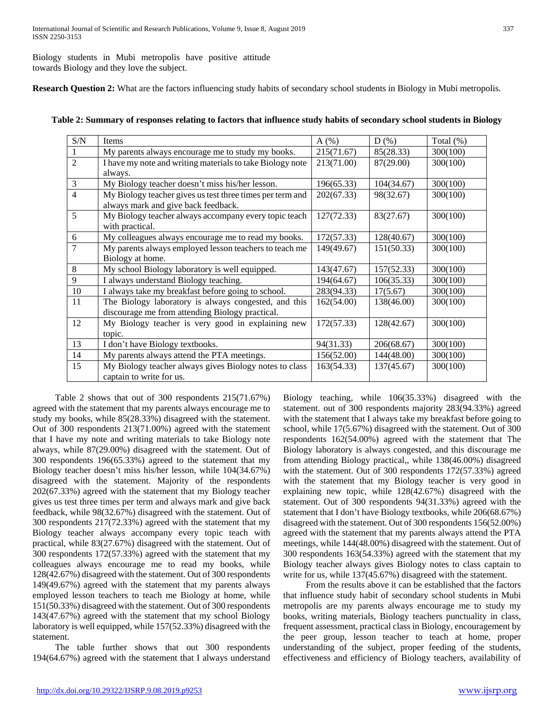Biology students in Mubi metropolis have positive attitude towards Biology and they love the subject.

**Research Question 2:** What are the factors influencing study habits of secondary school students in Biology in Mubi metropolis.

| Table 2: Summary of responses relating to factors that influence study habits of secondary school students in Biology |  |  |
|-----------------------------------------------------------------------------------------------------------------------|--|--|
|-----------------------------------------------------------------------------------------------------------------------|--|--|

| S/N            | Items                                                                                            | $A(\%)$    | $D(\%)$    | Total $(\%)$ |
|----------------|--------------------------------------------------------------------------------------------------|------------|------------|--------------|
|                | My parents always encourage me to study my books.                                                | 215(71.67) | 85(28.33)  | 300(100)     |
| $\overline{2}$ | I have my note and writing materials to take Biology note                                        | 213(71.00) | 87(29.00)  | 300(100)     |
|                | always.                                                                                          |            |            |              |
| 3              | My Biology teacher doesn't miss his/her lesson.                                                  | 196(65.33) | 104(34.67) | 300(100)     |
| $\overline{4}$ | My Biology teacher gives us test three times per term and<br>always mark and give back feedback. | 202(67.33) | 98(32.67)  | 300(100)     |
| 5              | My Biology teacher always accompany every topic teach<br>with practical.                         | 127(72.33) | 83(27.67)  | 300(100)     |
| 6              | My colleagues always encourage me to read my books.                                              | 172(57.33) | 128(40.67) | 300(100)     |
| $\overline{7}$ | My parents always employed lesson teachers to teach me                                           | 149(49.67) | 151(50.33) | 300(100)     |
|                | Biology at home.                                                                                 |            |            |              |
| 8              | My school Biology laboratory is well equipped.                                                   | 143(47.67) | 157(52.33) | 300(100)     |
| 9              | I always understand Biology teaching.                                                            | 194(64.67) | 106(35.33) | 300(100)     |
| 10             | I always take my breakfast before going to school.                                               | 283(94.33) | 17(5.67)   | 300(100)     |
| 11             | The Biology laboratory is always congested, and this                                             | 162(54.00) | 138(46.00) | 300(100)     |
|                | discourage me from attending Biology practical.                                                  |            |            |              |
| 12             | My Biology teacher is very good in explaining new                                                | 172(57.33) | 128(42.67) | 300(100)     |
|                | topic.                                                                                           |            |            |              |
| 13             | I don't have Biology textbooks.                                                                  | 94(31.33)  | 206(68.67) | 300(100)     |
| 14             | My parents always attend the PTA meetings.                                                       | 156(52.00) | 144(48.00) | 300(100)     |
| 15             | My Biology teacher always gives Biology notes to class<br>captain to write for us.               | 163(54.33) | 137(45.67) | 300(100)     |

 Table 2 shows that out of 300 respondents 215(71.67%) agreed with the statement that my parents always encourage me to study my books, while 85(28.33%) disagreed with the statement. Out of 300 respondents 213(71.00%) agreed with the statement that I have my note and writing materials to take Biology note always, while 87(29.00%) disagreed with the statement. Out of 300 respondents 196(65.33%) agreed to the statement that my Biology teacher doesn't miss his/her lesson, while 104(34.67%) disagreed with the statement. Majority of the respondents 202(67.33%) agreed with the statement that my Biology teacher gives us test three times per term and always mark and give back feedback, while 98(32.67%) disagreed with the statement. Out of 300 respondents 217(72.33%) agreed with the statement that my Biology teacher always accompany every topic teach with practical, while 83(27.67%) disagreed with the statement. Out of 300 respondents 172(57.33%) agreed with the statement that my colleagues always encourage me to read my books, while 128(42.67%) disagreed with the statement. Out of 300 respondents 149(49.67%) agreed with the statement that my parents always employed lesson teachers to teach me Biology at home, while 151(50.33%) disagreed with the statement. Out of 300 respondents 143(47.67%) agreed with the statement that my school Biology laboratory is well equipped, while 157(52.33%) disagreed with the statement.

 The table further shows that out 300 respondents 194(64.67%) agreed with the statement that I always understand Biology teaching, while 106(35.33%) disagreed with the statement. out of 300 respondents majority 283(94.33%) agreed with the statement that I always take my breakfast before going to school, while 17(5.67%) disagreed with the statement. Out of 300 respondents 162(54.00%) agreed with the statement that The Biology laboratory is always congested, and this discourage me from attending Biology practical,, while 138(46.00%) disagreed with the statement. Out of 300 respondents 172(57.33%) agreed with the statement that my Biology teacher is very good in explaining new topic, while 128(42.67%) disagreed with the statement. Out of 300 respondents 94(31.33%) agreed with the statement that I don't have Biology textbooks, while 206(68.67%) disagreed with the statement. Out of 300 respondents 156(52.00%) agreed with the statement that my parents always attend the PTA meetings, while 144(48.00%) disagreed with the statement. Out of 300 respondents 163(54.33%) agreed with the statement that my Biology teacher always gives Biology notes to class captain to write for us, while 137(45.67%) disagreed with the statement.

 From the results above it can be established that the factors that influence study habit of secondary school students in Mubi metropolis are my parents always encourage me to study my books, writing materials, Biology teachers punctuality in class, frequent assessment, practical class in Biology, encouragement by the peer group, lesson teacher to teach at home, proper understanding of the subject, proper feeding of the students, effectiveness and efficiency of Biology teachers, availability of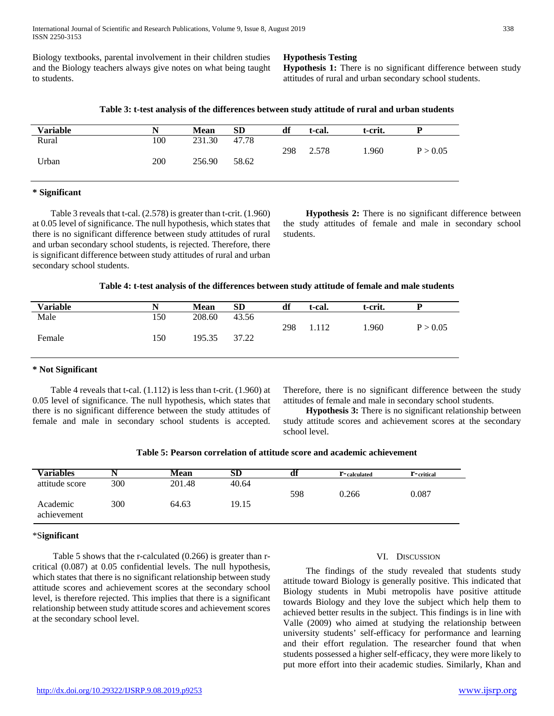Biology textbooks, parental involvement in their children studies and the Biology teachers always give notes on what being taught to students.

**Hypothesis Testing**

**Hypothesis 1:** There is no significant difference between study attitudes of rural and urban secondary school students.

**Table 3: t-test analysis of the differences between study attitude of rural and urban students**

| Variable |     | <b>Mean</b> | <b>SD</b> | df  | t-cal. | t-crit. |          |
|----------|-----|-------------|-----------|-----|--------|---------|----------|
| Rural    | 100 | 231.30      | 47.78     |     |        |         |          |
|          |     |             |           | 298 | 2.578  | .960    | P > 0.05 |
| Urban    | 200 | 256.90      | 58.62     |     |        |         |          |
|          |     |             |           |     |        |         |          |

#### **\* Significant**

 Table 3 reveals that t-cal. (2.578) is greater than t-crit. (1.960) at 0.05 level of significance. The null hypothesis, which states that there is no significant difference between study attitudes of rural and urban secondary school students, is rejected. Therefore, there is significant difference between study attitudes of rural and urban secondary school students.

 **Hypothesis 2:** There is no significant difference between the study attitudes of female and male in secondary school students.

| Table 4: t-test analysis of the differences between study attitude of female and male students |  |  |  |
|------------------------------------------------------------------------------------------------|--|--|--|
|------------------------------------------------------------------------------------------------|--|--|--|

| <b>Variable</b> |     | <b>Mean</b> | <b>SD</b> | df  | t-cal. | t-crit. |          |
|-----------------|-----|-------------|-----------|-----|--------|---------|----------|
| Male            | 150 | 208.60      | 43.56     |     |        |         |          |
|                 |     |             |           | 298 | 1.112  | 1.960   | P > 0.05 |
| Female          | 150 | 195.35      | 37.22     |     |        |         |          |
|                 |     |             |           |     |        |         |          |

#### **\* Not Significant**

 Table 4 reveals that t-cal. (1.112) is less than t-crit. (1.960) at 0.05 level of significance. The null hypothesis, which states that there is no significant difference between the study attitudes of female and male in secondary school students is accepted.

Therefore, there is no significant difference between the study attitudes of female and male in secondary school students.

 **Hypothesis 3:** There is no significant relationship between study attitude scores and achievement scores at the secondary school level.

| Variables               |     | Mean   | SD    | aı  | <b>r</b> -calculated | <b>r</b> -critical |
|-------------------------|-----|--------|-------|-----|----------------------|--------------------|
| attitude score          | 300 | 201.48 | 40.64 |     |                      |                    |
|                         |     |        |       | 598 | 0.266                | 0.087              |
| Academic<br>achievement | 300 | 64.63  | 19.15 |     |                      |                    |

#### \*S**ignificant**

 Table 5 shows that the r-calculated (0.266) is greater than rcritical (0.087) at 0.05 confidential levels. The null hypothesis, which states that there is no significant relationship between study attitude scores and achievement scores at the secondary school level, is therefore rejected. This implies that there is a significant relationship between study attitude scores and achievement scores at the secondary school level.

#### VI. DISCUSSION

 The findings of the study revealed that students study attitude toward Biology is generally positive. This indicated that Biology students in Mubi metropolis have positive attitude towards Biology and they love the subject which help them to achieved better results in the subject. This findings is in line with Valle (2009) who aimed at studying the relationship between university students' self-efficacy for performance and learning and their effort regulation. The researcher found that when students possessed a higher self-efficacy, they were more likely to put more effort into their academic studies. Similarly, Khan and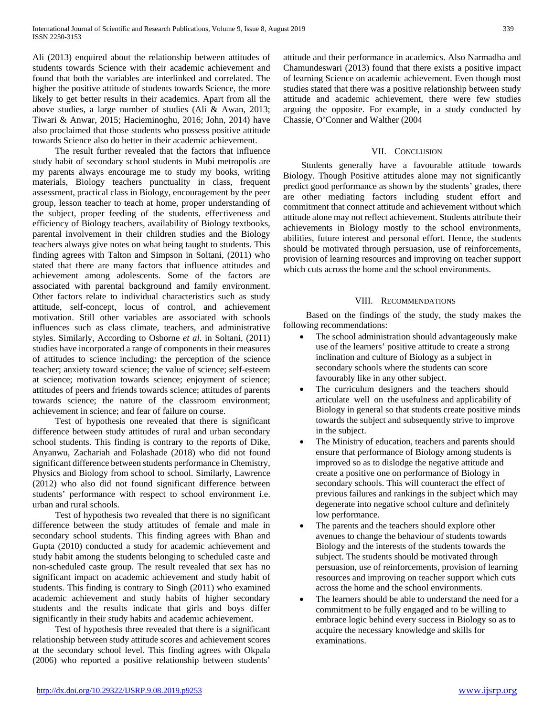Ali (2013) enquired about the relationship between attitudes of students towards Science with their academic achievement and found that both the variables are interlinked and correlated. The higher the positive attitude of students towards Science, the more likely to get better results in their academics. Apart from all the above studies, a large number of studies (Ali & Awan, 2013; Tiwari & Anwar, 2015; Hacieminoghu, 2016; John, 2014) have also proclaimed that those students who possess positive attitude towards Science also do better in their academic achievement.

 The result further revealed that the factors that influence study habit of secondary school students in Mubi metropolis are my parents always encourage me to study my books, writing materials, Biology teachers punctuality in class, frequent assessment, practical class in Biology, encouragement by the peer group, lesson teacher to teach at home, proper understanding of the subject, proper feeding of the students, effectiveness and efficiency of Biology teachers, availability of Biology textbooks, parental involvement in their children studies and the Biology teachers always give notes on what being taught to students. This finding agrees with Talton and Simpson in Soltani, (2011) who stated that there are many factors that influence attitudes and achievement among adolescents. Some of the factors are associated with parental background and family environment. Other factors relate to individual characteristics such as study attitude, self-concept, locus of control, and achievement motivation. Still other variables are associated with schools influences such as class climate, teachers, and administrative styles. Similarly, According to Osborne *et al*. in Soltani, (2011) studies have incorporated a range of components in their measures of attitudes to science including: the perception of the science teacher; anxiety toward science; the value of science; self-esteem at science; motivation towards science; enjoyment of science; attitudes of peers and friends towards science; attitudes of parents towards science; the nature of the classroom environment; achievement in science; and fear of failure on course.

 Test of hypothesis one revealed that there is significant difference between study attitudes of rural and urban secondary school students. This finding is contrary to the reports of Dike, Anyanwu, Zachariah and Folashade (2018) who did not found significant difference between students performance in Chemistry, Physics and Biology from school to school. Similarly, Lawrence (2012) who also did not found significant difference between students' performance with respect to school environment i.e. urban and rural schools.

 Test of hypothesis two revealed that there is no significant difference between the study attitudes of female and male in secondary school students. This finding agrees with Bhan and Gupta (2010) conducted a study for academic achievement and study habit among the students belonging to scheduled caste and non-scheduled caste group. The result revealed that sex has no significant impact on academic achievement and study habit of students. This finding is contrary to Singh (2011) who examined academic achievement and study habits of higher secondary students and the results indicate that girls and boys differ significantly in their study habits and academic achievement.

 Test of hypothesis three revealed that there is a significant relationship between study attitude scores and achievement scores at the secondary school level. This finding agrees with Okpala (2006) who reported a positive relationship between students'

attitude and their performance in academics. Also Narmadha and Chamundeswari (2013) found that there exists a positive impact of learning Science on academic achievement. Even though most studies stated that there was a positive relationship between study attitude and academic achievement, there were few studies arguing the opposite. For example, in a study conducted by Chassie, O'Conner and Walther (2004

#### VII. CONCLUSION

 Students generally have a favourable attitude towards Biology. Though Positive attitudes alone may not significantly predict good performance as shown by the students' grades, there are other mediating factors including student effort and commitment that connect attitude and achievement without which attitude alone may not reflect achievement. Students attribute their achievements in Biology mostly to the school environments, abilities, future interest and personal effort. Hence, the students should be motivated through persuasion, use of reinforcements, provision of learning resources and improving on teacher support which cuts across the home and the school environments.

#### VIII. RECOMMENDATIONS

 Based on the findings of the study, the study makes the following recommendations:

- The school administration should advantageously make use of the learners' positive attitude to create a strong inclination and culture of Biology as a subject in secondary schools where the students can score favourably like in any other subject.
- The curriculum designers and the teachers should articulate well on the usefulness and applicability of Biology in general so that students create positive minds towards the subject and subsequently strive to improve in the subject.
- The Ministry of education, teachers and parents should ensure that performance of Biology among students is improved so as to dislodge the negative attitude and create a positive one on performance of Biology in secondary schools. This will counteract the effect of previous failures and rankings in the subject which may degenerate into negative school culture and definitely low performance.
- The parents and the teachers should explore other avenues to change the behaviour of students towards Biology and the interests of the students towards the subject. The students should be motivated through persuasion, use of reinforcements, provision of learning resources and improving on teacher support which cuts across the home and the school environments.
- The learners should be able to understand the need for a commitment to be fully engaged and to be willing to embrace logic behind every success in Biology so as to acquire the necessary knowledge and skills for examinations.